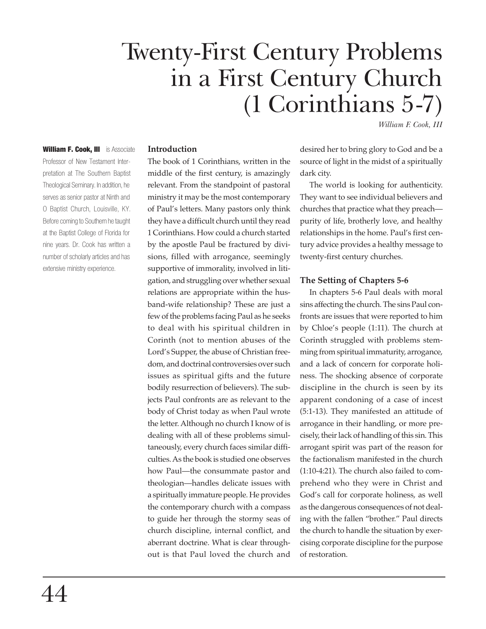# Twenty-First Century Problems in a First Century Church (1 Corinthians 5-7)

*William F. Cook, III*

William F. Cook, III is Associate Professor of New Testament Interpretation at The Southern Baptist Theological Seminary. In addition, he serves as senior pastor at Ninth and O Baptist Church, Louisville, KY. Before coming to Southern he taught at the Baptist College of Florida for nine years. Dr. Cook has written a number of scholarly articles and has extensive ministry experience.

#### **Introduction**

The book of 1 Corinthians, written in the middle of the first century, is amazingly relevant. From the standpoint of pastoral ministry it may be the most contemporary of Paul's letters. Many pastors only think they have a difficult church until they read 1 Corinthians. How could a church started by the apostle Paul be fractured by divisions, filled with arrogance, seemingly supportive of immorality, involved in litigation, and struggling over whether sexual relations are appropriate within the husband-wife relationship? These are just a few of the problems facing Paul as he seeks to deal with his spiritual children in Corinth (not to mention abuses of the Lord's Supper, the abuse of Christian freedom, and doctrinal controversies over such issues as spiritual gifts and the future bodily resurrection of believers). The subjects Paul confronts are as relevant to the body of Christ today as when Paul wrote the letter. Although no church I know of is dealing with all of these problems simultaneously, every church faces similar difficulties. As the book is studied one observes how Paul—the consummate pastor and theologian—handles delicate issues with a spiritually immature people. He provides the contemporary church with a compass to guide her through the stormy seas of church discipline, internal conflict, and aberrant doctrine. What is clear throughout is that Paul loved the church and

desired her to bring glory to God and be a source of light in the midst of a spiritually dark city.

The world is looking for authenticity. They want to see individual believers and churches that practice what they preach purity of life, brotherly love, and healthy relationships in the home. Paul's first century advice provides a healthy message to twenty-first century churches.

#### **The Setting of Chapters 5-6**

In chapters 5-6 Paul deals with moral sins affecting the church. The sins Paul confronts are issues that were reported to him by Chloe's people (1:11). The church at Corinth struggled with problems stemming from spiritual immaturity, arrogance, and a lack of concern for corporate holiness. The shocking absence of corporate discipline in the church is seen by its apparent condoning of a case of incest (5:1-13). They manifested an attitude of arrogance in their handling, or more precisely, their lack of handling of this sin. This arrogant spirit was part of the reason for the factionalism manifested in the church (1:10-4:21). The church also failed to comprehend who they were in Christ and God's call for corporate holiness, as well as the dangerous consequences of not dealing with the fallen "brother." Paul directs the church to handle the situation by exercising corporate discipline for the purpose of restoration.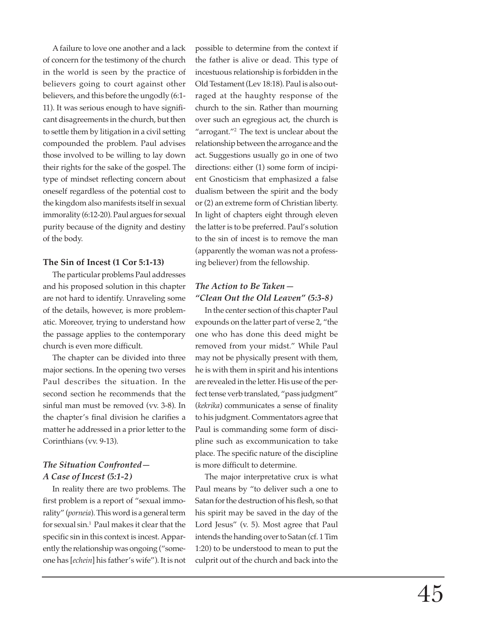A failure to love one another and a lack of concern for the testimony of the church in the world is seen by the practice of believers going to court against other believers, and this before the ungodly (6:1- 11). It was serious enough to have significant disagreements in the church, but then to settle them by litigation in a civil setting compounded the problem. Paul advises those involved to be willing to lay down their rights for the sake of the gospel. The type of mindset reflecting concern about oneself regardless of the potential cost to the kingdom also manifests itself in sexual immorality (6:12-20). Paul argues for sexual purity because of the dignity and destiny of the body.

### **The Sin of Incest (1 Cor 5:1-13)**

The particular problems Paul addresses and his proposed solution in this chapter are not hard to identify. Unraveling some of the details, however, is more problematic. Moreover, trying to understand how the passage applies to the contemporary church is even more difficult.

The chapter can be divided into three major sections. In the opening two verses Paul describes the situation. In the second section he recommends that the sinful man must be removed (vv. 3-8). In the chapter's final division he clarifies a matter he addressed in a prior letter to the Corinthians (vv. 9-13).

## *The Situation Confronted— A Case of Incest (5:1-2)*

In reality there are two problems. The first problem is a report of "sexual immorality" (*porneia*). This word is a general term for sexual sin.1 Paul makes it clear that the specific sin in this context is incest. Apparently the relationship was ongoing ("someone has [*echein*] his father's wife"). It is not possible to determine from the context if the father is alive or dead. This type of incestuous relationship is forbidden in the Old Testament (Lev 18:18). Paul is also outraged at the haughty response of the church to the sin. Rather than mourning over such an egregious act, the church is "arrogant."<sup>2</sup> The text is unclear about the relationship between the arrogance and the act. Suggestions usually go in one of two directions: either (1) some form of incipient Gnosticism that emphasized a false dualism between the spirit and the body or (2) an extreme form of Christian liberty. In light of chapters eight through eleven the latter is to be preferred. Paul's solution to the sin of incest is to remove the man (apparently the woman was not a professing believer) from the fellowship.

# *The Action to Be Taken— "Clean Out the Old Leaven" (5:3-8)*

In the center section of this chapter Paul expounds on the latter part of verse 2, "the one who has done this deed might be removed from your midst." While Paul may not be physically present with them, he is with them in spirit and his intentions are revealed in the letter. His use of the perfect tense verb translated, "pass judgment" (*kekrika*) communicates a sense of finality to his judgment. Commentators agree that Paul is commanding some form of discipline such as excommunication to take place. The specific nature of the discipline is more difficult to determine.

The major interpretative crux is what Paul means by "to deliver such a one to Satan for the destruction of his flesh, so that his spirit may be saved in the day of the Lord Jesus" (v. 5). Most agree that Paul intends the handing over to Satan (cf. 1 Tim 1:20) to be understood to mean to put the culprit out of the church and back into the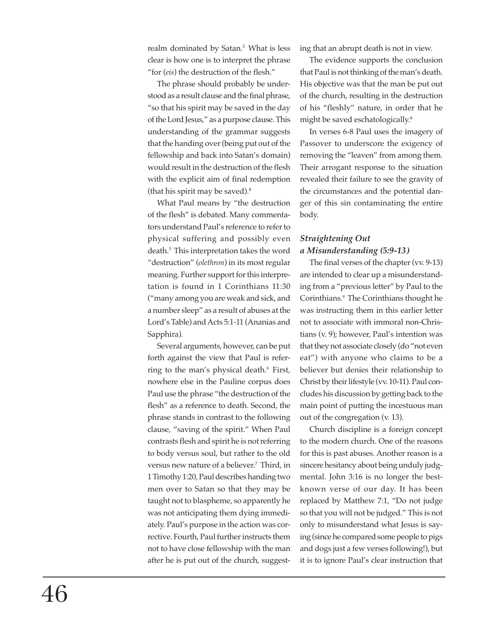realm dominated by Satan.3 What is less clear is how one is to interpret the phrase "for (*eis*) the destruction of the flesh."

The phrase should probably be understood as a result clause and the final phrase, "so that his spirit may be saved in the day of the Lord Jesus," as a purpose clause. This understanding of the grammar suggests that the handing over (being put out of the fellowship and back into Satan's domain) would result in the destruction of the flesh with the explicit aim of final redemption (that his spirit may be saved).4

What Paul means by "the destruction of the flesh" is debated. Many commentators understand Paul's reference to refer to physical suffering and possibly even death.5 This interpretation takes the word "destruction" (*olethron*) in its most regular meaning. Further support for this interpretation is found in 1 Corinthians 11:30 ("many among you are weak and sick, and a number sleep" as a result of abuses at the Lord's Table) and Acts 5:1-11 (Ananias and Sapphira).

Several arguments, however, can be put forth against the view that Paul is referring to the man's physical death.<sup>6</sup> First, nowhere else in the Pauline corpus does Paul use the phrase "the destruction of the flesh" as a reference to death. Second, the phrase stands in contrast to the following clause, "saving of the spirit." When Paul contrasts flesh and spirit he is not referring to body versus soul, but rather to the old versus new nature of a believer.<sup>7</sup> Third, in 1 Timothy 1:20, Paul describes handing two men over to Satan so that they may be taught not to blaspheme, so apparently he was not anticipating them dying immediately. Paul's purpose in the action was corrective. Fourth, Paul further instructs them not to have close fellowship with the man after he is put out of the church, suggesting that an abrupt death is not in view.

The evidence supports the conclusion that Paul is not thinking of the man's death. His objective was that the man be put out of the church, resulting in the destruction of his "fleshly" nature, in order that he might be saved eschatologically.8

In verses 6-8 Paul uses the imagery of Passover to underscore the exigency of removing the "leaven" from among them. Their arrogant response to the situation revealed their failure to see the gravity of the circumstances and the potential danger of this sin contaminating the entire body.

## *Straightening Out a Misunderstanding (5:9-13)*

The final verses of the chapter (vv. 9-13) are intended to clear up a misunderstanding from a "previous letter" by Paul to the Corinthians.9 The Corinthians thought he was instructing them in this earlier letter not to associate with immoral non-Christians (v. 9); however, Paul's intention was that they not associate closely (do "not even eat") with anyone who claims to be a believer but denies their relationship to Christ by their lifestyle (vv. 10-11). Paul concludes his discussion by getting back to the main point of putting the incestuous man out of the congregation (v. 13).

Church discipline is a foreign concept to the modern church. One of the reasons for this is past abuses. Another reason is a sincere hesitancy about being unduly judgmental. John 3:16 is no longer the bestknown verse of our day. It has been replaced by Matthew 7:1, "Do not judge so that you will not be judged." This is not only to misunderstand what Jesus is saying (since he compared some people to pigs and dogs just a few verses following!), but it is to ignore Paul's clear instruction that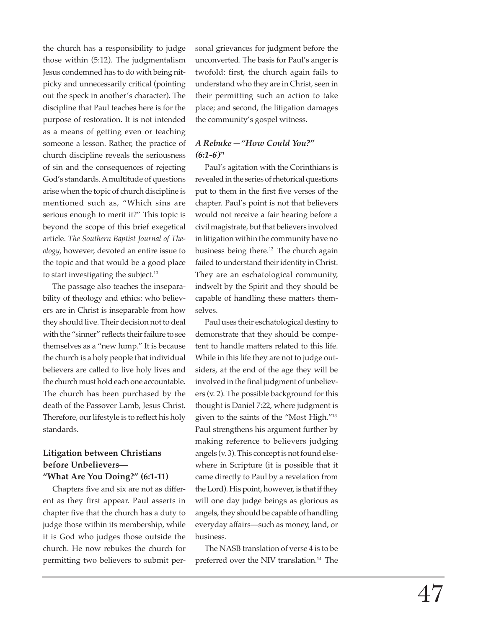the church has a responsibility to judge those within (5:12). The judgmentalism Jesus condemned has to do with being nitpicky and unnecessarily critical (pointing out the speck in another's character). The discipline that Paul teaches here is for the purpose of restoration. It is not intended as a means of getting even or teaching someone a lesson. Rather, the practice of church discipline reveals the seriousness of sin and the consequences of rejecting God's standards. A multitude of questions arise when the topic of church discipline is mentioned such as, "Which sins are serious enough to merit it?" This topic is beyond the scope of this brief exegetical article. *The Southern Baptist Journal of Theology*, however, devoted an entire issue to the topic and that would be a good place to start investigating the subject.<sup>10</sup>

The passage also teaches the inseparability of theology and ethics: who believers are in Christ is inseparable from how they should live. Their decision not to deal with the "sinner" reflects their failure to see themselves as a "new lump." It is because the church is a holy people that individual believers are called to live holy lives and the church must hold each one accountable. The church has been purchased by the death of the Passover Lamb, Jesus Christ. Therefore, our lifestyle is to reflect his holy standards.

## **Litigation between Christians before Unbelievers— "What Are You Doing?" (6:1-11)**

Chapters five and six are not as different as they first appear. Paul asserts in chapter five that the church has a duty to judge those within its membership, while it is God who judges those outside the church. He now rebukes the church for permitting two believers to submit personal grievances for judgment before the unconverted. The basis for Paul's anger is twofold: first, the church again fails to understand who they are in Christ, seen in their permitting such an action to take place; and second, the litigation damages the community's gospel witness.

## *A Rebuke—"How Could You?" (6:1-6)11*

Paul's agitation with the Corinthians is revealed in the series of rhetorical questions put to them in the first five verses of the chapter. Paul's point is not that believers would not receive a fair hearing before a civil magistrate, but that believers involved in litigation within the community have no business being there.12 The church again failed to understand their identity in Christ. They are an eschatological community, indwelt by the Spirit and they should be capable of handling these matters themselves.

Paul uses their eschatological destiny to demonstrate that they should be competent to handle matters related to this life. While in this life they are not to judge outsiders, at the end of the age they will be involved in the final judgment of unbelievers (v. 2). The possible background for this thought is Daniel 7:22, where judgment is given to the saints of the "Most High."13 Paul strengthens his argument further by making reference to believers judging angels (v. 3). This concept is not found elsewhere in Scripture (it is possible that it came directly to Paul by a revelation from the Lord). His point, however, is that if they will one day judge beings as glorious as angels, they should be capable of handling everyday affairs—such as money, land, or business.

The NASB translation of verse 4 is to be preferred over the NIV translation.<sup>14</sup> The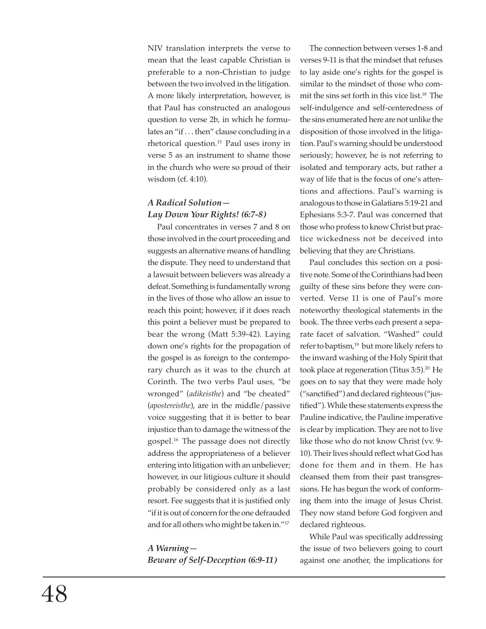NIV translation interprets the verse to mean that the least capable Christian is preferable to a non-Christian to judge between the two involved in the litigation. A more likely interpretation, however, is that Paul has constructed an analogous question to verse 2b, in which he formulates an "if . . . then" clause concluding in a rhetorical question.15 Paul uses irony in verse 5 as an instrument to shame those in the church who were so proud of their wisdom (cf. 4:10).

## *A Radical Solution— Lay Down Your Rights! (6:7-8)*

Paul concentrates in verses 7 and 8 on those involved in the court proceeding and suggests an alternative means of handling the dispute. They need to understand that a lawsuit between believers was already a defeat. Something is fundamentally wrong in the lives of those who allow an issue to reach this point; however, if it does reach this point a believer must be prepared to bear the wrong (Matt 5:39-42). Laying down one's rights for the propagation of the gospel is as foreign to the contemporary church as it was to the church at Corinth. The two verbs Paul uses, "be wronged" (*adikeisthe*) and "be cheated" (*apostereisthe*), are in the middle/passive voice suggesting that it is better to bear injustice than to damage the witness of the gospel.16 The passage does not directly address the appropriateness of a believer entering into litigation with an unbeliever; however, in our litigious culture it should probably be considered only as a last resort. Fee suggests that it is justified only "if it is out of concern for the one defrauded and for all others who might be taken in."17

*A Warning— Beware of Self-Deception (6:9-11)*

The connection between verses 1-8 and verses 9-11 is that the mindset that refuses to lay aside one's rights for the gospel is similar to the mindset of those who commit the sins set forth in this vice list.18 The self-indulgence and self-centeredness of the sins enumerated here are not unlike the disposition of those involved in the litigation. Paul's warning should be understood seriously; however, he is not referring to isolated and temporary acts, but rather a way of life that is the focus of one's attentions and affections. Paul's warning is analogous to those in Galatians 5:19-21 and Ephesians 5:3-7. Paul was concerned that those who profess to know Christ but practice wickedness not be deceived into believing that they are Christians.

Paul concludes this section on a positive note. Some of the Corinthians had been guilty of these sins before they were converted. Verse 11 is one of Paul's more noteworthy theological statements in the book. The three verbs each present a separate facet of salvation. "Washed" could refer to baptism,<sup>19</sup> but more likely refers to the inward washing of the Holy Spirit that took place at regeneration (Titus 3:5).<sup>20</sup> He goes on to say that they were made holy ("sanctified") and declared righteous ("justified"). While these statements express the Pauline indicative, the Pauline imperative is clear by implication. They are not to live like those who do not know Christ (vv. 9- 10). Their lives should reflect what God has done for them and in them. He has cleansed them from their past transgressions. He has begun the work of conforming them into the image of Jesus Christ. They now stand before God forgiven and declared righteous.

While Paul was specifically addressing the issue of two believers going to court against one another, the implications for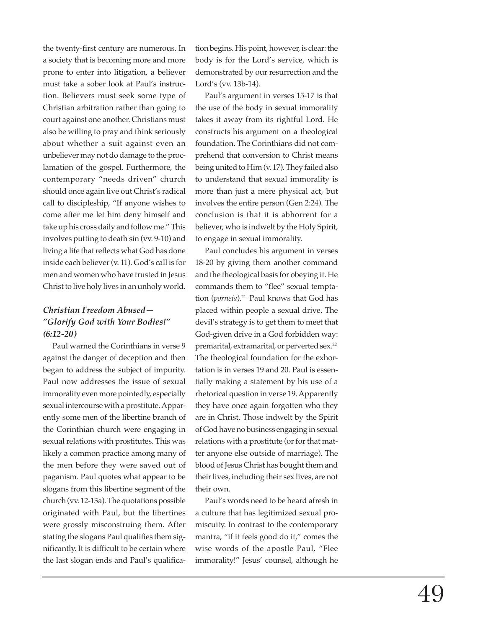the twenty-first century are numerous. In a society that is becoming more and more prone to enter into litigation, a believer must take a sober look at Paul's instruction. Believers must seek some type of Christian arbitration rather than going to court against one another. Christians must also be willing to pray and think seriously about whether a suit against even an unbeliever may not do damage to the proclamation of the gospel. Furthermore, the contemporary "needs driven" church should once again live out Christ's radical call to discipleship, "If anyone wishes to come after me let him deny himself and take up his cross daily and follow me." This involves putting to death sin (vv. 9-10) and living a life that reflects what God has done inside each believer (v. 11). God's call is for men and women who have trusted in Jesus Christ to live holy lives in an unholy world.

## *Christian Freedom Abused— "Glorify God with Your Bodies!" (6:12-20)*

Paul warned the Corinthians in verse 9 against the danger of deception and then began to address the subject of impurity. Paul now addresses the issue of sexual immorality even more pointedly, especially sexual intercourse with a prostitute. Apparently some men of the libertine branch of the Corinthian church were engaging in sexual relations with prostitutes. This was likely a common practice among many of the men before they were saved out of paganism. Paul quotes what appear to be slogans from this libertine segment of the church (vv. 12-13a). The quotations possible originated with Paul, but the libertines were grossly misconstruing them. After stating the slogans Paul qualifies them significantly. It is difficult to be certain where the last slogan ends and Paul's qualifica-

tion begins. His point, however, is clear: the body is for the Lord's service, which is demonstrated by our resurrection and the Lord's (vv. 13b-14).

Paul's argument in verses 15-17 is that the use of the body in sexual immorality takes it away from its rightful Lord. He constructs his argument on a theological foundation. The Corinthians did not comprehend that conversion to Christ means being united to Him (v. 17). They failed also to understand that sexual immorality is more than just a mere physical act, but involves the entire person (Gen 2:24). The conclusion is that it is abhorrent for a believer, who is indwelt by the Holy Spirit, to engage in sexual immorality.

Paul concludes his argument in verses 18-20 by giving them another command and the theological basis for obeying it. He commands them to "flee" sexual temptation (*porneia*).<sup>21</sup> Paul knows that God has placed within people a sexual drive. The devil's strategy is to get them to meet that God-given drive in a God forbidden way: premarital, extramarital, or perverted sex.<sup>22</sup> The theological foundation for the exhortation is in verses 19 and 20. Paul is essentially making a statement by his use of a rhetorical question in verse 19. Apparently they have once again forgotten who they are in Christ. Those indwelt by the Spirit of God have no business engaging in sexual relations with a prostitute (or for that matter anyone else outside of marriage). The blood of Jesus Christ has bought them and their lives, including their sex lives, are not their own.

Paul's words need to be heard afresh in a culture that has legitimized sexual promiscuity. In contrast to the contemporary mantra, "if it feels good do it," comes the wise words of the apostle Paul, "Flee immorality!" Jesus' counsel, although he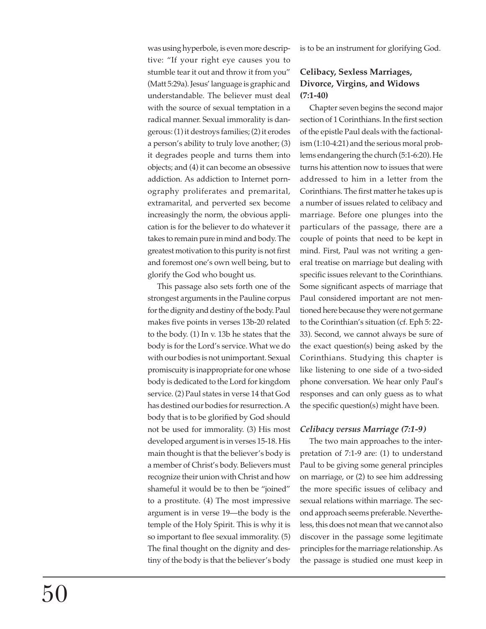was using hyperbole, is even more descriptive: "If your right eye causes you to stumble tear it out and throw it from you" (Matt 5:29a). Jesus' language is graphic and understandable. The believer must deal with the source of sexual temptation in a radical manner. Sexual immorality is dangerous: (1) it destroys families; (2) it erodes a person's ability to truly love another; (3) it degrades people and turns them into objects; and (4) it can become an obsessive addiction. As addiction to Internet pornography proliferates and premarital, extramarital, and perverted sex become increasingly the norm, the obvious application is for the believer to do whatever it takes to remain pure in mind and body. The greatest motivation to this purity is not first and foremost one's own well being, but to glorify the God who bought us.

This passage also sets forth one of the strongest arguments in the Pauline corpus for the dignity and destiny of the body. Paul makes five points in verses 13b-20 related to the body. (1) In v. 13b he states that the body is for the Lord's service. What we do with our bodies is not unimportant. Sexual promiscuity is inappropriate for one whose body is dedicated to the Lord for kingdom service. (2) Paul states in verse 14 that God has destined our bodies for resurrection. A body that is to be glorified by God should not be used for immorality. (3) His most developed argument is in verses 15-18. His main thought is that the believer's body is a member of Christ's body. Believers must recognize their union with Christ and how shameful it would be to then be "joined" to a prostitute. (4) The most impressive argument is in verse 19—the body is the temple of the Holy Spirit. This is why it is so important to flee sexual immorality. (5) The final thought on the dignity and destiny of the body is that the believer's body is to be an instrument for glorifying God.

## **Celibacy, Sexless Marriages, Divorce, Virgins, and Widows (7:1-40)**

Chapter seven begins the second major section of 1 Corinthians. In the first section of the epistle Paul deals with the factionalism (1:10-4:21) and the serious moral problems endangering the church (5:1-6:20). He turns his attention now to issues that were addressed to him in a letter from the Corinthians. The first matter he takes up is a number of issues related to celibacy and marriage. Before one plunges into the particulars of the passage, there are a couple of points that need to be kept in mind. First, Paul was not writing a general treatise on marriage but dealing with specific issues relevant to the Corinthians. Some significant aspects of marriage that Paul considered important are not mentioned here because they were not germane to the Corinthian's situation (cf. Eph 5: 22- 33). Second, we cannot always be sure of the exact question(s) being asked by the Corinthians. Studying this chapter is like listening to one side of a two-sided phone conversation. We hear only Paul's responses and can only guess as to what the specific question(s) might have been.

### *Celibacy versus Marriage (7:1-9)*

The two main approaches to the interpretation of 7:1-9 are: (1) to understand Paul to be giving some general principles on marriage, or (2) to see him addressing the more specific issues of celibacy and sexual relations within marriage. The second approach seems preferable. Nevertheless, this does not mean that we cannot also discover in the passage some legitimate principles for the marriage relationship. As the passage is studied one must keep in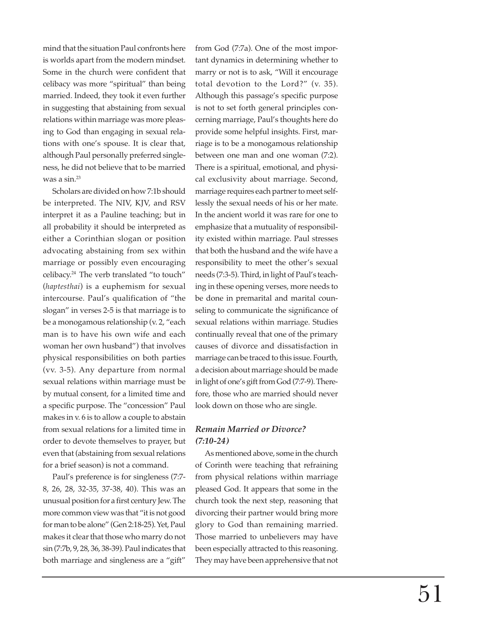mind that the situation Paul confronts here is worlds apart from the modern mindset. Some in the church were confident that celibacy was more "spiritual" than being married. Indeed, they took it even further in suggesting that abstaining from sexual relations within marriage was more pleasing to God than engaging in sexual relations with one's spouse. It is clear that, although Paul personally preferred singleness, he did not believe that to be married was a sin.23

Scholars are divided on how 7:1b should be interpreted. The NIV, KJV, and RSV interpret it as a Pauline teaching; but in all probability it should be interpreted as either a Corinthian slogan or position advocating abstaining from sex within marriage or possibly even encouraging celibacy.24 The verb translated "to touch" (*haptesthai*) is a euphemism for sexual intercourse. Paul's qualification of "the slogan" in verses 2-5 is that marriage is to be a monogamous relationship (v. 2, "each man is to have his own wife and each woman her own husband") that involves physical responsibilities on both parties (vv. 3-5). Any departure from normal sexual relations within marriage must be by mutual consent, for a limited time and a specific purpose. The "concession" Paul makes in v. 6 is to allow a couple to abstain from sexual relations for a limited time in order to devote themselves to prayer, but even that (abstaining from sexual relations for a brief season) is not a command.

Paul's preference is for singleness (7:7- 8, 26, 28, 32-35, 37-38, 40). This was an unusual position for a first century Jew. The more common view was that "it is not good for man to be alone" (Gen 2:18-25). Yet, Paul makes it clear that those who marry do not sin (7:7b, 9, 28, 36, 38-39). Paul indicates that both marriage and singleness are a "gift" from God (7:7a). One of the most important dynamics in determining whether to marry or not is to ask, "Will it encourage total devotion to the Lord?" (v. 35). Although this passage's specific purpose is not to set forth general principles concerning marriage, Paul's thoughts here do provide some helpful insights. First, marriage is to be a monogamous relationship between one man and one woman (7:2). There is a spiritual, emotional, and physical exclusivity about marriage. Second, marriage requires each partner to meet selflessly the sexual needs of his or her mate. In the ancient world it was rare for one to emphasize that a mutuality of responsibility existed within marriage. Paul stresses that both the husband and the wife have a responsibility to meet the other's sexual needs (7:3-5). Third, in light of Paul's teaching in these opening verses, more needs to be done in premarital and marital counseling to communicate the significance of sexual relations within marriage. Studies continually reveal that one of the primary causes of divorce and dissatisfaction in marriage can be traced to this issue. Fourth, a decision about marriage should be made in light of one's gift from God (7:7-9). Therefore, those who are married should never look down on those who are single.

## *Remain Married or Divorce? (7:10-24)*

As mentioned above, some in the church of Corinth were teaching that refraining from physical relations within marriage pleased God. It appears that some in the church took the next step, reasoning that divorcing their partner would bring more glory to God than remaining married. Those married to unbelievers may have been especially attracted to this reasoning. They may have been apprehensive that not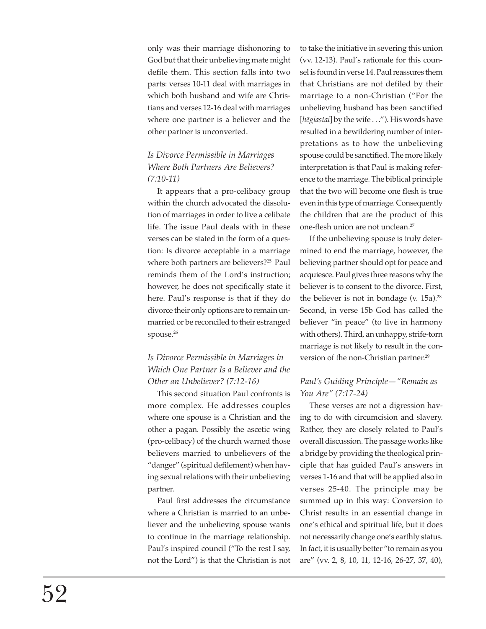only was their marriage dishonoring to God but that their unbelieving mate might defile them. This section falls into two parts: verses 10-11 deal with marriages in which both husband and wife are Christians and verses 12-16 deal with marriages where one partner is a believer and the other partner is unconverted.

# *Is Divorce Permissible in Marriages Where Both Partners Are Believers? (7:10-11)*

It appears that a pro-celibacy group within the church advocated the dissolution of marriages in order to live a celibate life. The issue Paul deals with in these verses can be stated in the form of a question: Is divorce acceptable in a marriage where both partners are believers?<sup>25</sup> Paul reminds them of the Lord's instruction; however, he does not specifically state it here. Paul's response is that if they do divorce their only options are to remain unmarried or be reconciled to their estranged spouse.<sup>26</sup>

# *Is Divorce Permissible in Marriages in Which One Partner Is a Believer and the Other an Unbeliever? (7:12-16)*

This second situation Paul confronts is more complex. He addresses couples where one spouse is a Christian and the other a pagan. Possibly the ascetic wing (pro-celibacy) of the church warned those believers married to unbelievers of the "danger" (spiritual defilement) when having sexual relations with their unbelieving partner.

Paul first addresses the circumstance where a Christian is married to an unbeliever and the unbelieving spouse wants to continue in the marriage relationship. Paul's inspired council ("To the rest I say, not the Lord") is that the Christian is not to take the initiative in severing this union (vv. 12-13). Paul's rationale for this counsel is found in verse 14. Paul reassures them that Christians are not defiled by their marriage to a non-Christian ("For the unbelieving husband has been sanctified [hēgiastai] by the wife . . ."). His words have resulted in a bewildering number of interpretations as to how the unbelieving spouse could be sanctified. The more likely interpretation is that Paul is making reference to the marriage. The biblical principle that the two will become one flesh is true even in this type of marriage. Consequently the children that are the product of this one-flesh union are not unclean.27

If the unbelieving spouse is truly determined to end the marriage, however, the believing partner should opt for peace and acquiesce. Paul gives three reasons why the believer is to consent to the divorce. First, the believer is not in bondage (v.  $15a$ ).<sup>28</sup> Second, in verse 15b God has called the believer "in peace" (to live in harmony with others). Third, an unhappy, strife-torn marriage is not likely to result in the conversion of the non-Christian partner.<sup>29</sup>

## *Paul's Guiding Principle—"Remain as You Are" (7:17-24)*

These verses are not a digression having to do with circumcision and slavery. Rather, they are closely related to Paul's overall discussion. The passage works like a bridge by providing the theological principle that has guided Paul's answers in verses 1-16 and that will be applied also in verses 25-40. The principle may be summed up in this way: Conversion to Christ results in an essential change in one's ethical and spiritual life, but it does not necessarily change one's earthly status. In fact, it is usually better "to remain as you are" (vv. 2, 8, 10, 11, 12-16, 26-27, 37, 40),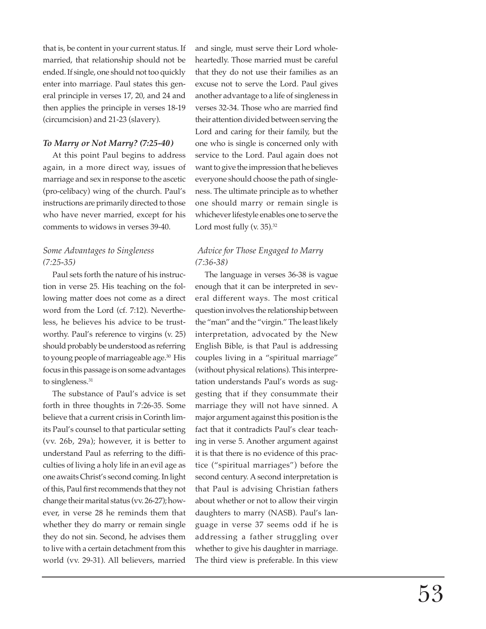that is, be content in your current status. If married, that relationship should not be ended. If single, one should not too quickly enter into marriage. Paul states this general principle in verses 17, 20, and 24 and then applies the principle in verses 18-19 (circumcision) and 21-23 (slavery).

#### *To Marry or Not Marry? (7:25-40)*

At this point Paul begins to address again, in a more direct way, issues of marriage and sex in response to the ascetic (pro-celibacy) wing of the church. Paul's instructions are primarily directed to those who have never married, except for his comments to widows in verses 39-40.

## *Some Advantages to Singleness (7:25-35)*

Paul sets forth the nature of his instruction in verse 25. His teaching on the following matter does not come as a direct word from the Lord (cf. 7:12). Nevertheless, he believes his advice to be trustworthy. Paul's reference to virgins (v. 25) should probably be understood as referring to young people of marriageable age.<sup>30</sup> His focus in this passage is on some advantages to singleness.<sup>31</sup>

The substance of Paul's advice is set forth in three thoughts in 7:26-35. Some believe that a current crisis in Corinth limits Paul's counsel to that particular setting (vv. 26b, 29a); however, it is better to understand Paul as referring to the difficulties of living a holy life in an evil age as one awaits Christ's second coming. In light of this, Paul first recommends that they not change their marital status (vv. 26-27); however, in verse 28 he reminds them that whether they do marry or remain single they do not sin. Second, he advises them to live with a certain detachment from this world (vv. 29-31). All believers, married

and single, must serve their Lord wholeheartedly. Those married must be careful that they do not use their families as an excuse not to serve the Lord. Paul gives another advantage to a life of singleness in verses 32-34. Those who are married find their attention divided between serving the Lord and caring for their family, but the one who is single is concerned only with service to the Lord. Paul again does not want to give the impression that he believes everyone should choose the path of singleness. The ultimate principle as to whether one should marry or remain single is whichever lifestyle enables one to serve the Lord most fully (v. 35).<sup>32</sup>

## *Advice for Those Engaged to Marry (7:36-38)*

The language in verses 36-38 is vague enough that it can be interpreted in several different ways. The most critical question involves the relationship between the "man" and the "virgin." The least likely interpretation, advocated by the New English Bible, is that Paul is addressing couples living in a "spiritual marriage" (without physical relations). This interpretation understands Paul's words as suggesting that if they consummate their marriage they will not have sinned. A major argument against this position is the fact that it contradicts Paul's clear teaching in verse 5. Another argument against it is that there is no evidence of this practice ("spiritual marriages") before the second century. A second interpretation is that Paul is advising Christian fathers about whether or not to allow their virgin daughters to marry (NASB). Paul's language in verse 37 seems odd if he is addressing a father struggling over whether to give his daughter in marriage. The third view is preferable. In this view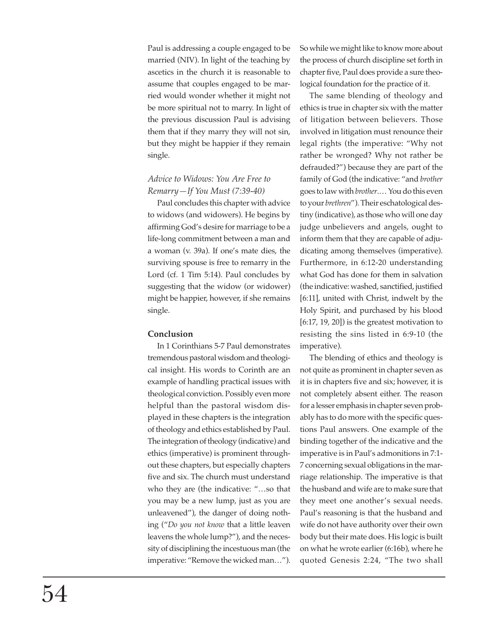Paul is addressing a couple engaged to be married (NIV). In light of the teaching by ascetics in the church it is reasonable to assume that couples engaged to be married would wonder whether it might not be more spiritual not to marry. In light of the previous discussion Paul is advising them that if they marry they will not sin, but they might be happier if they remain single.

## *Advice to Widows: You Are Free to Remarry—If You Must (7:39-40)*

Paul concludes this chapter with advice to widows (and widowers). He begins by affirming God's desire for marriage to be a life-long commitment between a man and a woman (v. 39a). If one's mate dies, the surviving spouse is free to remarry in the Lord (cf. 1 Tim 5:14). Paul concludes by suggesting that the widow (or widower) might be happier, however, if she remains single.

### **Conclusion**

In 1 Corinthians 5-7 Paul demonstrates tremendous pastoral wisdom and theological insight. His words to Corinth are an example of handling practical issues with theological conviction. Possibly even more helpful than the pastoral wisdom displayed in these chapters is the integration of theology and ethics established by Paul. The integration of theology (indicative) and ethics (imperative) is prominent throughout these chapters, but especially chapters five and six. The church must understand who they are (the indicative: "…so that you may be a new lump, just as you are unleavened"), the danger of doing nothing ("*Do you not know* that a little leaven leavens the whole lump?"), and the necessity of disciplining the incestuous man (the imperative: "Remove the wicked man…"). So while we might like to know more about the process of church discipline set forth in chapter five, Paul does provide a sure theological foundation for the practice of it.

The same blending of theology and ethics is true in chapter six with the matter of litigation between believers. Those involved in litigation must renounce their legal rights (the imperative: "Why not rather be wronged? Why not rather be defrauded?") because they are part of the family of God (the indicative: "and *brother* goes to law with *brother*.… You do this even to your *brethren*"). Their eschatological destiny (indicative), as those who will one day judge unbelievers and angels, ought to inform them that they are capable of adjudicating among themselves (imperative). Furthermore, in 6:12-20 understanding what God has done for them in salvation (the indicative: washed, sanctified, justified [6:11], united with Christ, indwelt by the Holy Spirit, and purchased by his blood [6:17, 19, 20]) is the greatest motivation to resisting the sins listed in 6:9-10 (the imperative).

The blending of ethics and theology is not quite as prominent in chapter seven as it is in chapters five and six; however, it is not completely absent either. The reason for a lesser emphasis in chapter seven probably has to do more with the specific questions Paul answers. One example of the binding together of the indicative and the imperative is in Paul's admonitions in 7:1- 7 concerning sexual obligations in the marriage relationship. The imperative is that the husband and wife are to make sure that they meet one another's sexual needs. Paul's reasoning is that the husband and wife do not have authority over their own body but their mate does. His logic is built on what he wrote earlier (6:16b), where he quoted Genesis 2:24, "The two shall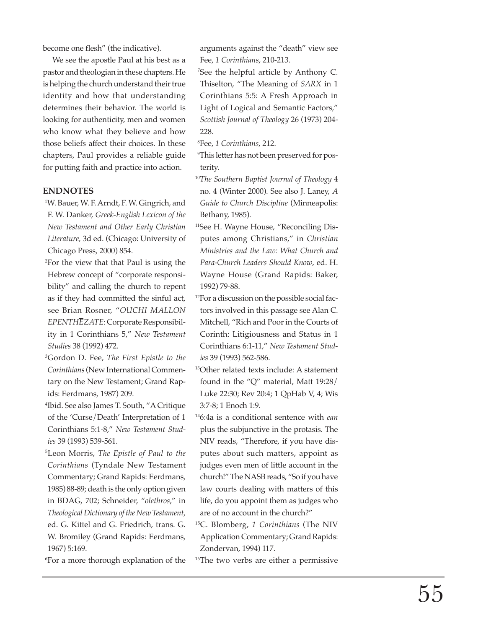become one flesh" (the indicative).

We see the apostle Paul at his best as a pastor and theologian in these chapters. He is helping the church understand their true identity and how that understanding determines their behavior. The world is looking for authenticity, men and women who know what they believe and how those beliefs affect their choices. In these chapters, Paul provides a reliable guide for putting faith and practice into action.

#### **ENDNOTES**

- <sup>1</sup>W. Bauer, W. F. Arndt, F. W. Gingrich, and F. W. Danker, *Greek-English Lexicon of the New Testament and Other Early Christian Literature,* 3d ed. (Chicago: University of Chicago Press, 2000) 854.
- <sup>2</sup>For the view that that Paul is using the Hebrew concept of "corporate responsibility" and calling the church to repent as if they had committed the sinful act, see Brian Rosner, "*OUCHI MALLON EPENTHEZATE*: Corporate Responsibility in 1 Corinthians 5," *New Testament Studies* 38 (1992) 472.
- 33 Gordon D. Fee, *The First Epistle to the Corinthians* (New International Commentary on the New Testament; Grand Rapids: Eerdmans, 1987) 209.
- 44 Ibid. See also James T. South, "A Critique of the 'Curse/Death' Interpretation of 1 Corinthians 5:1-8," *New Testament Studies* 39 (1993) 539-561.
- 55 Leon Morris, *The Epistle of Paul to the Corinthians* (Tyndale New Testament Commentary; Grand Rapids: Eerdmans, 1985) 88-89; death is the only option given in BDAG, 702; Schneider, "*olethros*," in *Theological Dictionary of the New Testament*, ed. G. Kittel and G. Friedrich, trans. G. W. Bromiley (Grand Rapids: Eerdmans, 1967) 5:169.
- <sup>6</sup>For a more thorough explanation of the

arguments against the "death" view see Fee, *1 Corinthians*, 210-213.

77 See the helpful article by Anthony C. Thiselton, "The Meaning of *SARX* in 1 Corinthians 5:5: A Fresh Approach in Light of Logical and Semantic Factors," *Scottish Journal of Theology* 26 (1973) 204- 228.

88 Fee, *1 Corinthians*, 212.

- <sup>9</sup>This letter has not been preserved for posterity.
- <sup>10</sup>*The Southern Baptist Journal of Theology* 4 no. 4 (Winter 2000). See also J. Laney, *A Guide to Church Discipline* (Minneapolis: Bethany, 1985).
- <sup>11</sup>See H. Wayne House, "Reconciling Disputes among Christians," in *Christian Ministries and the Law: What Church and Para-Church Leaders Should Know*, ed. H. Wayne House (Grand Rapids: Baker, 1992) 79-88.
- 12For a discussion on the possible social factors involved in this passage see Alan C. Mitchell, "Rich and Poor in the Courts of Corinth: Litigiousness and Status in 1 Corinthians 6:1-11," *New Testament Studies* 39 (1993) 562-586.
- 13Other related texts include: A statement found in the "Q" material, Matt 19:28/ Luke 22:30; Rev 20:4; 1 QpHab V, 4; Wis 3:7-8; 1 Enoch 1:9.
- 146:4a is a conditional sentence with *ean* plus the subjunctive in the protasis. The NIV reads, "Therefore, if you have disputes about such matters, appoint as judges even men of little account in the church!" The NASB reads, "So if you have law courts dealing with matters of this life, do you appoint them as judges who are of no account in the church?"
- 15C. Blomberg, *1 Corinthians* (The NIV Application Commentary; Grand Rapids: Zondervan, 1994) 117.
- <sup>16</sup>The two verbs are either a permissive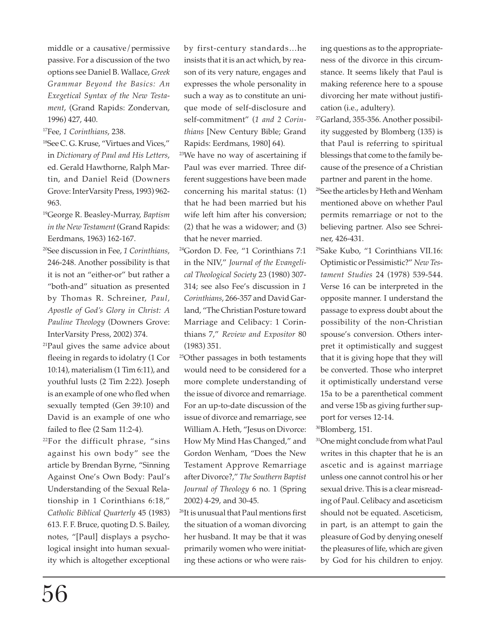middle or a causative/permissive passive. For a discussion of the two options see Daniel B. Wallace, *Greek Grammar Beyond the Basics: An Exegetical Syntax of the New Testament*, (Grand Rapids: Zondervan, 1996) 427, 440.

- 17Fee, *1 Corinthians*, 238.
- 18See C. G. Kruse, "Virtues and Vices," in *Dictionary of Paul and His Letters*, ed. Gerald Hawthorne, Ralph Martin, and Daniel Reid (Downers Grove: InterVarsity Press, 1993) 962- 963.
- 19George R. Beasley-Murray, *Baptism in the New Testament* (Grand Rapids: Eerdmans, 1963) 162-167.
- 20See discussion in Fee, *1 Corinthians*, 246-248. Another possibility is that it is not an "either-or" but rather a "both-and" situation as presented by Thomas R. Schreiner, *Paul, Apostle of God's Glory in Christ: A Pauline Theology* (Downers Grove: InterVarsity Press, 2002) 374.
- 21Paul gives the same advice about fleeing in regards to idolatry (1 Cor 10:14), materialism (1 Tim 6:11), and youthful lusts (2 Tim 2:22). Joseph is an example of one who fled when sexually tempted (Gen 39:10) and David is an example of one who failed to flee (2 Sam 11:2-4).
- 22For the difficult phrase, "sins against his own body" see the article by Brendan Byrne, "Sinning Against One's Own Body: Paul's Understanding of the Sexual Relationship in 1 Corinthians 6:18," *Catholic Biblical Quarterly* 45 (1983) 613. F. F. Bruce, quoting D. S. Bailey, notes, "[Paul] displays a psychological insight into human sexuality which is altogether exceptional

by first-century standards…he insists that it is an act which, by reason of its very nature, engages and expresses the whole personality in such a way as to constitute an unique mode of self-disclosure and self-commitment" (*1 and 2 Corinthians* [New Century Bible; Grand Rapids: Eerdmans, 1980] 64).

- <sup>23</sup>We have no way of ascertaining if Paul was ever married. Three different suggestions have been made concerning his marital status: (1) that he had been married but his wife left him after his conversion; (2) that he was a widower; and (3) that he never married.
- 24Gordon D. Fee, "1 Corinthians 7:1 in the NIV," *Journal of the Evangelical Theological Society* 23 (1980) 307- 314; see also Fee's discussion in *1 Corinthians*, 266-357 and David Garland, "The Christian Posture toward Marriage and Celibacy: 1 Corinthians 7," *Review and Expositor* 80 (1983) 351.
- 25Other passages in both testaments would need to be considered for a more complete understanding of the issue of divorce and remarriage. For an up-to-date discussion of the issue of divorce and remarriage, see William A. Heth, "Jesus on Divorce: How My Mind Has Changed," and Gordon Wenham, "Does the New Testament Approve Remarriage after Divorce?," *The Southern Baptist Journal of Theology* 6 no. 1 (Spring 2002) 4-29, and 30-45.
- 26It is unusual that Paul mentions first the situation of a woman divorcing her husband. It may be that it was primarily women who were initiating these actions or who were rais-

ing questions as to the appropriateness of the divorce in this circumstance. It seems likely that Paul is making reference here to a spouse divorcing her mate without justification (i.e., adultery).

- 27Garland, 355-356. Another possibility suggested by Blomberg (135) is that Paul is referring to spiritual blessings that come to the family because of the presence of a Christian partner and parent in the home.
- 28See the articles by Heth and Wenham mentioned above on whether Paul permits remarriage or not to the believing partner. Also see Schreiner, 426-431.
- 29Sake Kubo, "1 Corinthians VII.16: Optimistic or Pessimistic?" *New Testament Studies* 24 (1978) 539-544. Verse 16 can be interpreted in the opposite manner. I understand the passage to express doubt about the possibility of the non-Christian spouse's conversion. Others interpret it optimistically and suggest that it is giving hope that they will be converted. Those who interpret it optimistically understand verse 15a to be a parenthetical comment and verse 15b as giving further support for verses 12-14.

30Blomberg, 151.

<sup>31</sup>One might conclude from what Paul writes in this chapter that he is an ascetic and is against marriage unless one cannot control his or her sexual drive. This is a clear misreading of Paul. Celibacy and asceticism should not be equated. Asceticism, in part, is an attempt to gain the pleasure of God by denying oneself the pleasures of life, which are given by God for his children to enjoy.